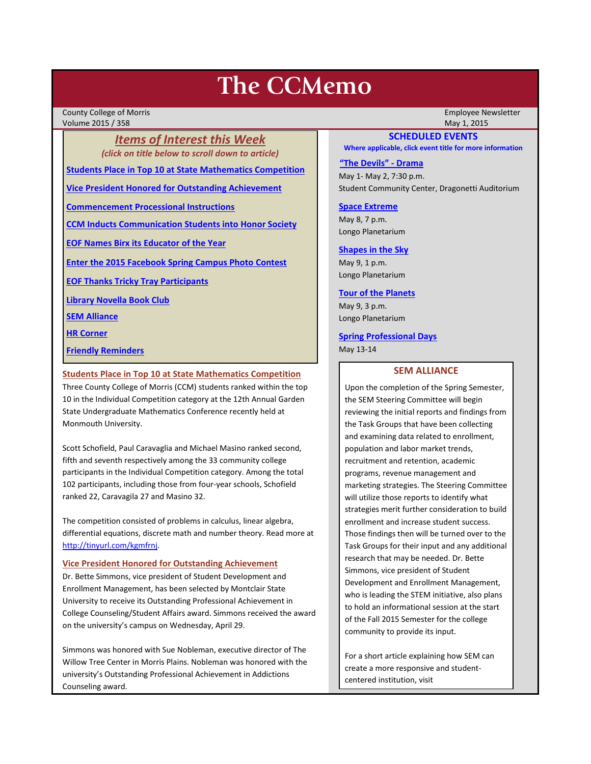# **The CCMemo**

County College of Morris Employee Newsletter Volume 2015 / 358 May 1, 2015

*Items of Interest this Week (click on title below to scroll down to article)*

**[Students Place in Top 10 at State Mathematics Competition](#page-0-0)**

**[Vice President Honored for Outstanding Achievement](#page-0-1)**

**[Commencement Processional Instructions](#page-1-0)**

**[CCM Inducts Communication Students into Honor Society](#page-1-1)**

**[EOF Names Birx its Educator of the Year](#page-2-0)**

**[Enter the 2015 Facebook Spring Campus Photo Contest](#page-2-1)**

**[EOF Thanks Tricky Tray Participants](#page-3-0)**

**[Library Novella Book Club](#page-3-1)**

**[SEM Alliance](#page-0-2)**

**[HR Corner](#page-3-2)**

**[Friendly Reminders](#page-1-2)**

#### <span id="page-0-0"></span>**Students Place in Top 10 at State Mathematics Competition**

Three County College of Morris (CCM) students ranked within the top 10 in the Individual Competition category at the 12th Annual Garden State Undergraduate Mathematics Conference recently held at Monmouth University.

Scott Schofield, Paul Caravaglia and Michael Masino ranked second, fifth and seventh respectively among the 33 community college participants in the Individual Competition category. Among the total 102 participants, including those from four-year schools, Schofield ranked 22, Caravagila 27 and Masino 32.

The competition consisted of problems in calculus, linear algebra, differential equations, discrete math and number theory. Read more at [http://tinyurl.com/kgmfrnj.](http://tinyurl.com/kgmfrnj)

# <span id="page-0-1"></span>**Vice President Honored for Outstanding Achievement**

Dr. Bette Simmons, vice president of Student Development and Enrollment Management, has been selected by Montclair State University to receive its Outstanding Professional Achievement in College Counseling/Student Affairs award. Simmons received the award on the university's campus on Wednesday, April 29.

Simmons was honored with Sue Nobleman, executive director of The Willow Tree Center in Morris Plains. Nobleman was honored with the university's Outstanding Professional Achievement in Addictions Counseling award.

## **SCHEDULED EVENTS**

**Where applicable, click event title for more information**

#### **["The Devils" -](http://www.ccm.edu/newsEvents/eventDetails.aspx?Channel=/Channels/Sitewide&WorkflowItemID=8dd88758-b234-42f0-abf7-34958b6a6635) Drama**

May 1- May 2, 7:30 p.m. Student Community Center, Dragonetti Auditorium

**[Space Extreme](http://www.ccm.edu/newsEvents/eventDetails.aspx?Channel=/Channels/Sitewide&WorkflowItemID=1874a4b0-0bcb-4ed1-a29e-7b4f8d25e45d)** May 8, 7 p.m. Longo Planetarium

# **[Shapes in the Sky](http://www.ccm.edu/newsEvents/eventDetails.aspx?Channel=/Channels/Sitewide&WorkflowItemID=1922c928-86d3-4e75-b6a2-fd618033989c)**

May 9, 1 p.m. Longo Planetarium

#### **[Tour of the Planets](http://www.ccm.edu/newsEvents/eventDetails.aspx?Channel=/Channels/Sitewide&WorkflowItemID=5834aa20-68ba-4fa2-a3ac-75b2311ba441)**

May 9, 3 p.m. Longo Planetarium

**[Spring Professional Days](http://www3.ccm.edu/ccmemo/images/Professional%20Days%20-%20May%202015.pdf)** May 13-14

# **SEM ALLIANCE**

<span id="page-0-2"></span>Upon the completion of the Spring Semester, the SEM Steering Committee will begin reviewing the initial reports and findings from the Task Groups that have been collecting and examining data related to enrollment, population and labor market trends, recruitment and retention, academic programs, revenue management and marketing strategies. The Steering Committee will utilize those reports to identify what strategies merit further consideration to build enrollment and increase student success. Those findings then will be turned over to the Task Groups for their input and any additional research that may be needed. Dr. Bette Simmons, vice president of Student Development and Enrollment Management, who is leading the STEM initiative, also plans to hold an informational session at the start of the Fall 2015 Semester for the college community to provide its input.

For a short article explaining how SEM can create a more responsive and studentcentered institution, visit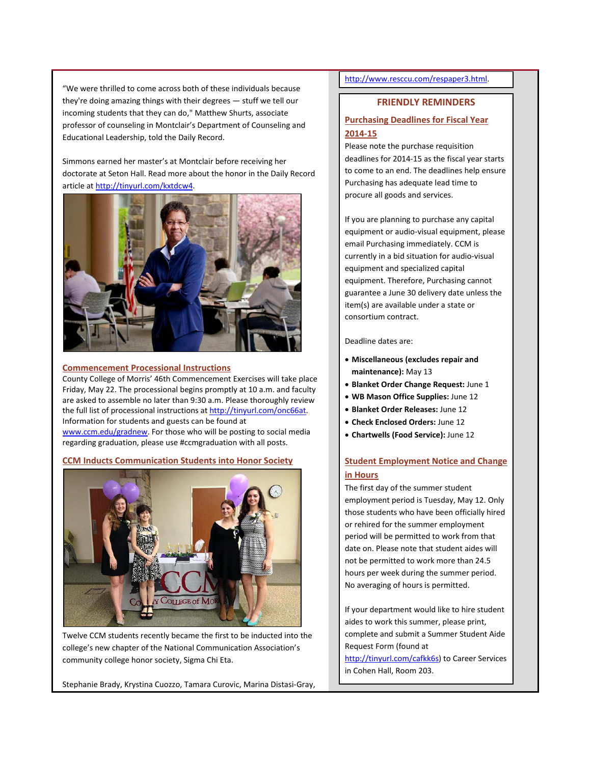"We were thrilled to come across both of these individuals because they're doing amazing things with their degrees — stuff we tell our incoming students that they can do," Matthew Shurts, associate professor of counseling in Montclair's Department of Counseling and Educational Leadership, told the Daily Record.

Simmons earned her master's at Montclair before receiving her doctorate at Seton Hall. Read more about the honor in the Daily Record article at [http://tinyurl.com/kxtdcw4.](http://tinyurl.com/kxtdcw4)



## <span id="page-1-0"></span>**Commencement Processional Instructions**

County College of Morris' 46th Commencement Exercises will take place Friday, May 22. The processional begins promptly at 10 a.m. and faculty are asked to assemble no later than 9:30 a.m. Please thoroughly review the full list of processional instructions a[t http://tinyurl.com/onc66at.](http://tinyurl.com/onc66at) Information for students and guests can be found at [www.ccm.edu/gradnew.](http://www.ccm.edu/gradnew) For those who will be posting to social media regarding graduation, please use #ccmgraduation with all posts.

# <span id="page-1-1"></span>**CCM Inducts Communication Students into Honor Society**



Twelve CCM students recently became the first to be inducted into the college's new chapter of the National Communication Association's community college honor society, Sigma Chi Eta.

Stephanie Brady, Krystina Cuozzo, Tamara Curovic, Marina Distasi-Gray,

# [http://www.resccu.com/respaper3.html.](http://www.resccu.com/respaper3.html)

# **FRIENDLY REMINDERS**

# <span id="page-1-2"></span>**Purchasing Deadlines for Fiscal Year 2014-15**

Please note the purchase requisition deadlines for 2014-15 as the fiscal year starts to come to an end. The deadlines help ensure Purchasing has adequate lead time to procure all goods and services.

If you are planning to purchase any capital equipment or audio-visual equipment, please email Purchasing immediately. CCM is currently in a bid situation for audio-visual equipment and specialized capital equipment. Therefore, Purchasing cannot guarantee a June 30 delivery date unless the item(s) are available under a state or consortium contract.

#### Deadline dates are:

- **Miscellaneous (excludes repair and maintenance):** May 13
- **Blanket Order Change Request:** June 1
- **WB Mason Office Supplies:** June 12
- **Blanket Order Releases:** June 12
- **Check Enclosed Orders:** June 12
- **Chartwells (Food Service):** June 12

# **Student Employment Notice and Change in Hours**

The first day of the summer student employment period is Tuesday, May 12. Only those students who have been officially hired or rehired for the summer employment period will be permitted to work from that date on. Please note that student aides will not be permitted to work more than 24.5 hours per week during the summer period. No averaging of hours is permitted.

If your department would like to hire student aides to work this summer, please print, complete and submit a Summer Student Aide Request Form (found at

[http://tinyurl.com/cafkk6s\)](http://tinyurl.com/cafkk6s) to Career Services in Cohen Hall, Room 203.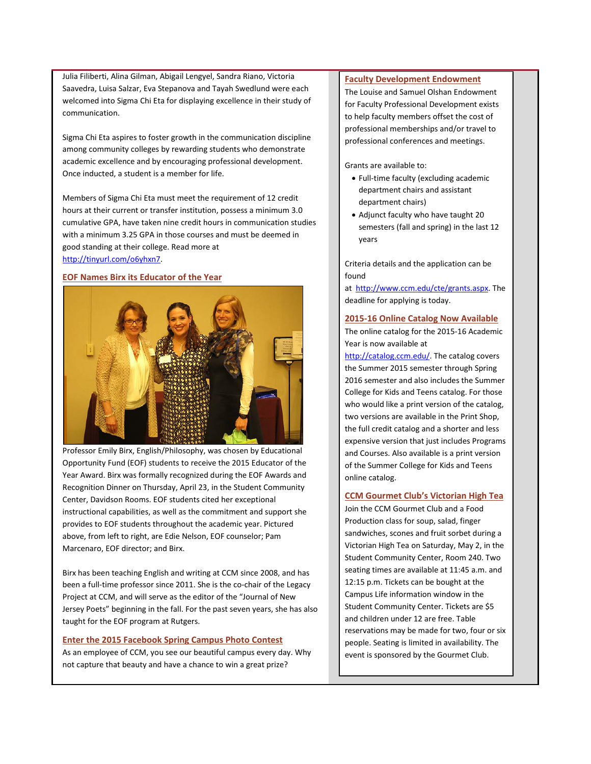Julia Filiberti, Alina Gilman, Abigail Lengyel, Sandra Riano, Victoria Saavedra, Luisa Salzar, Eva Stepanova and Tayah Swedlund were each welcomed into Sigma Chi Eta for displaying excellence in their study of communication.

Sigma Chi Eta aspires to foster growth in the communication discipline among community colleges by rewarding students who demonstrate academic excellence and by encouraging professional development. Once inducted, a student is a member for life.

Members of Sigma Chi Eta must meet the requirement of 12 credit hours at their current or transfer institution, possess a minimum 3.0 cumulative GPA, have taken nine credit hours in communication studies with a minimum 3.25 GPA in those courses and must be deemed in good standing at their college. Read more at [http://tinyurl.com/o6yhxn7.](http://tinyurl.com/o6yhxn7)

# <span id="page-2-0"></span>**EOF Names Birx its Educator of the Year**



Professor Emily Birx, English/Philosophy, was chosen by Educational Opportunity Fund (EOF) students to receive the 2015 Educator of the Year Award. Birx was formally recognized during the EOF Awards and Recognition Dinner on Thursday, April 23, in the Student Community Center, Davidson Rooms. EOF students cited her exceptional instructional capabilities, as well as the commitment and support she provides to EOF students throughout the academic year. Pictured above, from left to right, are Edie Nelson, EOF counselor; Pam Marcenaro, EOF director; and Birx.

Birx has been teaching English and writing at CCM since 2008, and has been a full-time professor since 2011. She is the co-chair of the Legacy Project at CCM, and will serve as the editor of the "Journal of New Jersey Poets" beginning in the fall. For the past seven years, she has also taught for the EOF program at Rutgers.

# <span id="page-2-1"></span>**Enter the 2015 Facebook Spring Campus Photo Contest**

As an employee of CCM, you see our beautiful campus every day. Why not capture that beauty and have a chance to win a great prize?

# **Faculty Development Endowment**

The Louise and Samuel Olshan Endowment for Faculty Professional Development exists to help faculty members offset the cost of professional memberships and/or travel to professional conferences and meetings.

Grants are available to:

- Full-time faculty (excluding academic department chairs and assistant department chairs)
- Adjunct faculty who have taught 20 semesters (fall and spring) in the last 12 years

Criteria details and the application can be found

at [http://www.ccm.edu/cte/grants.aspx.](http://www.ccm.edu/cte/grants.aspx) The deadline for applying is today.

# **2015-16 Online Catalog Now Available**

The online catalog for the 2015-16 Academic Year is now available at

[http://catalog.ccm.edu/.](http://catalog.ccm.edu/) The catalog covers the Summer 2015 semester through Spring 2016 semester and also includes the Summer College for Kids and Teens catalog. For those who would like a print version of the catalog, two versions are available in the Print Shop, the full credit catalog and a shorter and less expensive version that just includes Programs and Courses. Also available is a print version of the Summer College for Kids and Teens online catalog.

# **CCM Gourmet Club's Victorian High Tea**

Join the CCM Gourmet Club and a Food Production class for soup, salad, finger sandwiches, scones and fruit sorbet during a Victorian High Tea on Saturday, May 2, in the Student Community Center, Room 240. Two seating times are available at 11:45 a.m. and 12:15 p.m. Tickets can be bought at the Campus Life information window in the Student Community Center. Tickets are \$5 and children under 12 are free. Table reservations may be made for two, four or six people. Seating is limited in availability. The event is sponsored by the Gourmet Club.